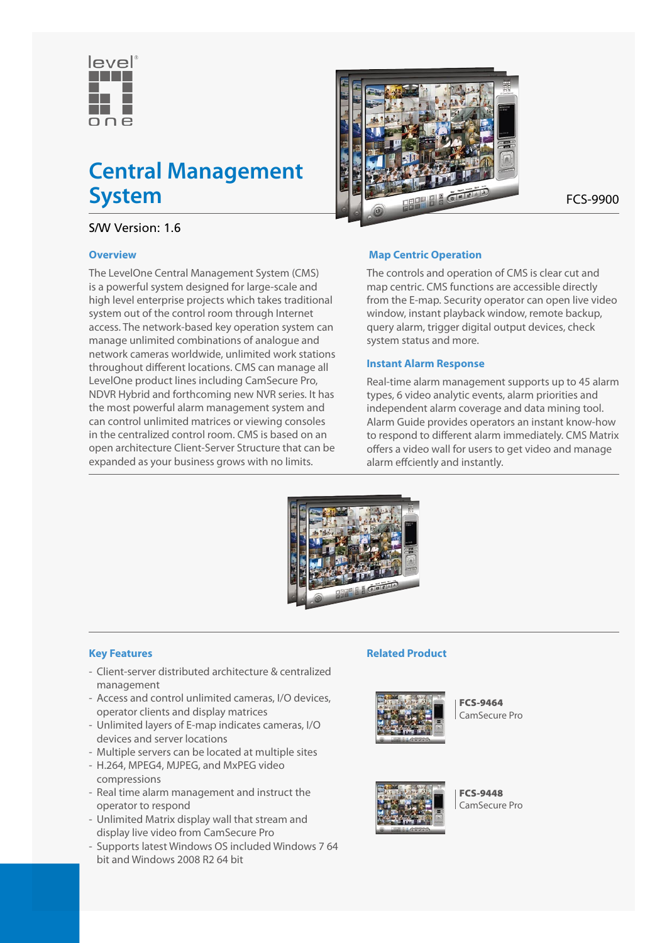

# **Central Management System** FCS-9900

## S/W Version: 1.6

#### **Overview**

The LevelOne Central Management System (CMS) is a powerful system designed for large-scale and high level enterprise projects which takes traditional system out of the control room through Internet access. The network-based key operation system can manage unlimited combinations of analogue and network cameras worldwide, unlimited work stations throughout different locations. CMS can manage all LevelOne product lines including CamSecure Pro, NDVR Hybrid and forthcoming new NVR series. It has the most powerful alarm management system and can control unlimited matrices or viewing consoles in the centralized control room. CMS is based on an open architecture Client-Server Structure that can be expanded as your business grows with no limits.



## **Map Centric Operation**

The controls and operation of CMS is clear cut and map centric. CMS functions are accessible directly from the E-map. Security operator can open live video window, instant playback window, remote backup, query alarm, trigger digital output devices, check system status and more.

#### **Instant Alarm Response**

Real-time alarm management supports up to 45 alarm types, 6 video analytic events, alarm priorities and independent alarm coverage and data mining tool. Alarm Guide provides operators an instant know-how to respond to different alarm immediately. CMS Matrix offers a video wall for users to get video and manage alarm effciently and instantly.



#### **Key Features**

- Client-server distributed architecture & centralized management
- Access and control unlimited cameras, I/O devices, operator clients and display matrices
- Unlimited layers of E-map indicates cameras, I/O devices and server locations
- Multiple servers can be located at multiple sites
- H.264, MPEG4, MJPEG, and MxPEG video compressions
- Real time alarm management and instruct the operator to respond
- Unlimited Matrix display wall that stream and display live video from CamSecure Pro
- Supports latest Windows OS included Windows 7 64 bit and Windows 2008 R2 64 bit

#### **Related Product**



FCS-9464 CamSecure Pro



FCS-9448 CamSecure Pro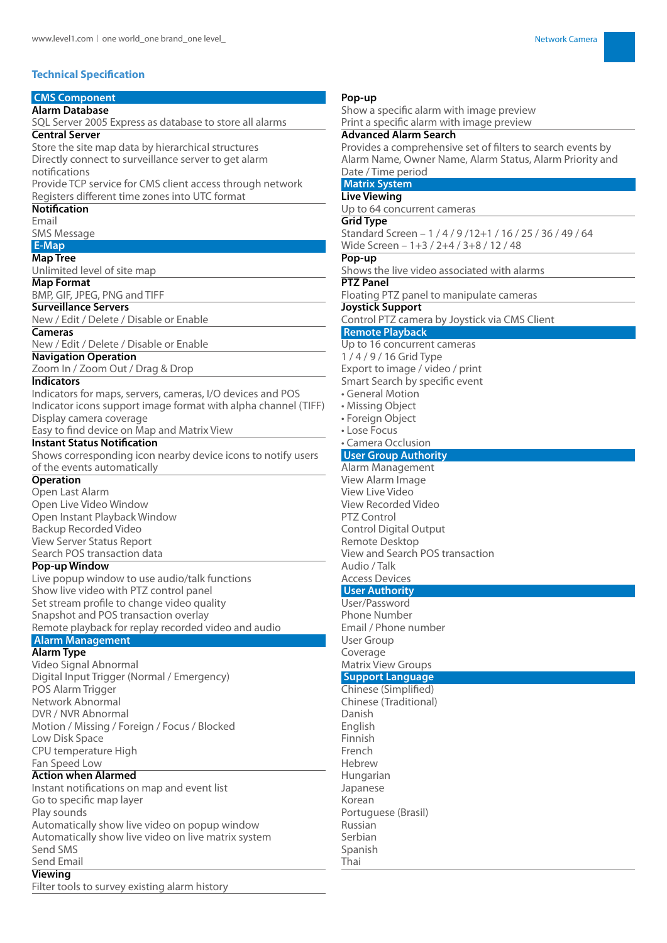#### **Technical Specification**

## **CMS Component**

**Alarm Database**

SQL Server 2005 Express as database to store all alarms **Central Server**

Store the site map data by hierarchical structures Directly connect to surveillance server to get alarm notifications

Provide TCP service for CMS client access through network Registers different time zones into UTC format

#### **Notification**

Email SMS Message

## **E-Map**

**Map Tree**

Unlimited level of site map

#### **Map Format**

BMP, GIF, JPEG, PNG and TIFF

## **Surveillance Servers**

New / Edit / Delete / Disable or Enable

## **Cameras**

New / Edit / Delete / Disable or Enable

## **Navigation Operation**

Zoom In / Zoom Out / Drag & Drop

### **Indicators**

Indicators for maps, servers, cameras, I/O devices and POS Indicator icons support image format with alpha channel (TIFF) Display camera coverage Easy to find device on Map and Matrix View

## **Instant Status Notification**

Shows corresponding icon nearby device icons to notify users of the events automatically

#### **Operation**

Open Last Alarm Open Live Video Window Open Instant Playback Window Backup Recorded Video View Server Status Report Search POS transaction data

#### **Pop-up Window**

Live popup window to use audio/talk functions Show live video with PTZ control panel Set stream profile to change video quality Snapshot and POS transaction overlay Remote playback for replay recorded video and audio

## **Alarm Management**

**Alarm Type**

Video Signal Abnormal Digital Input Trigger (Normal / Emergency) POS Alarm Trigger Network Abnormal DVR / NVR Abnormal Motion / Missing / Foreign / Focus / Blocked Low Disk Space CPU temperature High Fan Speed Low

#### **Action when Alarmed**

Instant notifications on map and event list Go to specific map layer Play sounds Automatically show live video on popup window Automatically show live video on live matrix system Send SMS Send Email

#### **Viewing**

Filter tools to survey existing alarm history

#### **Pop-up**

Show a specific alarm with image preview Print a specific alarm with image preview

#### **Advanced Alarm Search**

Provides a comprehensive set of filters to search events by Alarm Name, Owner Name, Alarm Status, Alarm Priority and Date / Time period

## **Matrix System**

**Live Viewing** Up to 64 concurrent cameras

#### **Grid Type**

Standard Screen – 1 / 4 / 9 /12+1 / 16 / 25 / 36 / 49 / 64 Wide Screen – 1+3 / 2+4 / 3+8 / 12 / 48

#### **Pop-up**

Shows the live video associated with alarms

## **PTZ Panel**

Floating PTZ panel to manipulate cameras

### **Joystick Support**

Control PTZ camera by Joystick via CMS Client

## **Remote Playback**

Up to 16 concurrent cameras 1 / 4 / 9 / 16 Grid Type Export to image / video / print

Smart Search by specific event

- General Motion
- Missing Object
- Foreign Object
- Lose Focus

#### • Camera Occlusion  **User Group Authority**

Alarm Management View Alarm Image View Live Video View Recorded Video PTZ Control Control Digital Output Remote Desktop View and Search POS transaction Audio / Talk Access Devices

## **User Authority**

User/Password Phone Number Email / Phone number User Group Coverage Matrix View Groups

#### **Support Language**

Chinese (Simplified) Chinese (Traditional) Danish English Finnish French Hebrew Hungarian Japanese Korean Portuguese (Brasil) Russian Serbian Spanish Thai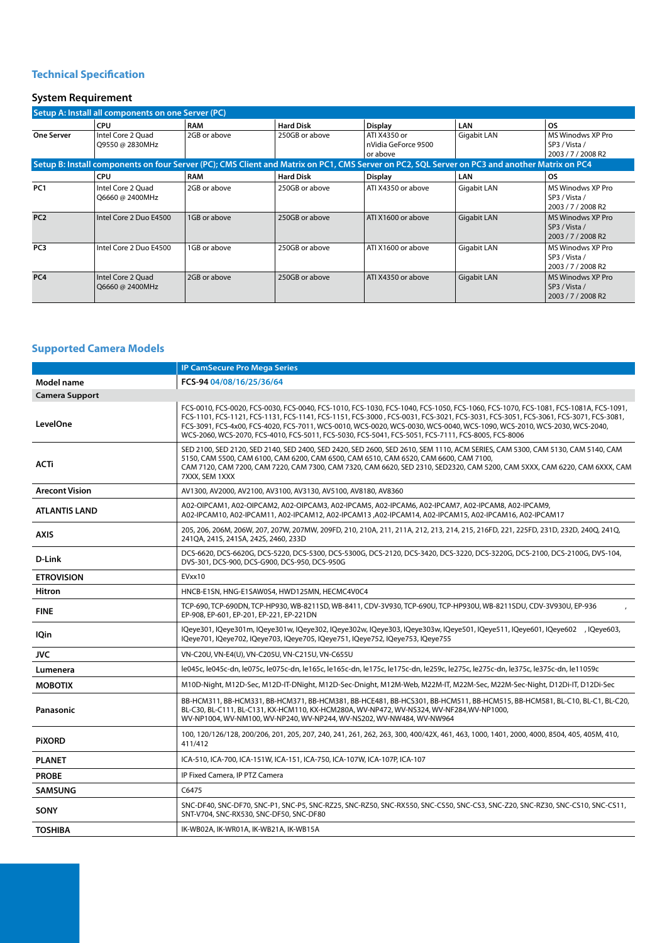### **Technical Specification**

## **System Requirement**

| Setup A: Install all components on one Server (PC)                                                                                            |                                      |              |                  |                                                 |                    |                                                                 |  |  |
|-----------------------------------------------------------------------------------------------------------------------------------------------|--------------------------------------|--------------|------------------|-------------------------------------------------|--------------------|-----------------------------------------------------------------|--|--|
|                                                                                                                                               | <b>CPU</b>                           | <b>RAM</b>   | <b>Hard Disk</b> | <b>Display</b>                                  | LAN                | <b>OS</b>                                                       |  |  |
| <b>One Server</b>                                                                                                                             | Intel Core 2 Ouad<br>Q9550 @ 2830MHz | 2GB or above | 250GB or above   | ATI X4350 or<br>nVidia GeForce 9500<br>or above | Gigabit LAN        | MS Winodws XP Pro<br>SP3 / Vista /<br>2003 / 7 / 2008 R2        |  |  |
| Setup B: Install components on four Server (PC); CMS Client and Matrix on PC1, CMS Server on PC2, SQL Server on PC3 and another Matrix on PC4 |                                      |              |                  |                                                 |                    |                                                                 |  |  |
|                                                                                                                                               | <b>CPU</b>                           | <b>RAM</b>   | <b>Hard Disk</b> | <b>Display</b>                                  | LAN                | <b>OS</b>                                                       |  |  |
| PC <sub>1</sub>                                                                                                                               | Intel Core 2 Ouad<br>Q6660 @ 2400MHz | 2GB or above | 250GB or above   | ATI X4350 or above                              | Gigabit LAN        | MS Winodws XP Pro<br>SP3 / Vista /<br>2003 / 7 / 2008 R2        |  |  |
| PC <sub>2</sub>                                                                                                                               | Intel Core 2 Duo E4500               | 1GB or above | 250GB or above   | ATI X1600 or above                              | Gigabit LAN        | <b>MS Winodws XP Pro</b><br>SP3 / Vista /<br>2003 / 7 / 2008 R2 |  |  |
| PC <sub>3</sub>                                                                                                                               | Intel Core 2 Duo E4500               | 1GB or above | 250GB or above   | ATI X1600 or above                              | Gigabit LAN        | MS Winodws XP Pro<br>SP3 / Vista /<br>2003 / 7 / 2008 R2        |  |  |
| PC <sub>4</sub>                                                                                                                               | Intel Core 2 Quad<br>Q6660 @ 2400MHz | 2GB or above | 250GB or above   | ATI X4350 or above                              | <b>Gigabit LAN</b> | <b>MS Winodws XP Pro</b><br>SP3 / Vista /<br>2003 / 7 / 2008 R2 |  |  |

#### **Supported Camera Models**

|                       | <b>IP CamSecure Pro Mega Series</b>                                                                                                                                                                                                                                                                                                                                                                                                                                                                      |  |  |  |
|-----------------------|----------------------------------------------------------------------------------------------------------------------------------------------------------------------------------------------------------------------------------------------------------------------------------------------------------------------------------------------------------------------------------------------------------------------------------------------------------------------------------------------------------|--|--|--|
| Model name            | FCS-94 04/08/16/25/36/64                                                                                                                                                                                                                                                                                                                                                                                                                                                                                 |  |  |  |
| <b>Camera Support</b> |                                                                                                                                                                                                                                                                                                                                                                                                                                                                                                          |  |  |  |
| LevelOne              | FCS-0010, FCS-0020, FCS-0030, FCS-0040, FCS-1010, FCS-1030, FCS-1040, FCS-1050, FCS-1060, FCS-1070, FCS-1081, FCS-1081A, FCS-1091,<br>FCS-1101, FCS-1121, FCS-1131, FCS-1141, FCS-1151, FCS-3000, FCS-0031, FCS-3021, FCS-3031, FCS-3051, FCS-3061, FCS-3071, FCS-3081,<br>FCS-3091, FCS-4x00, FCS-4020, FCS-7011, WCS-0010, WCS-0020, WCS-0030, WCS-0040, WCS-1090, WCS-2010, WCS-2030, WCS-2040,<br>WCS-2060, WCS-2070, FCS-4010, FCS-5011, FCS-5030, FCS-5041, FCS-5051, FCS-7111, FCS-8005, FCS-8006 |  |  |  |
| <b>ACTi</b>           | SED 2100, SED 2120, SED 2140, SED 2400, SED 2420, SED 2600, SED 2610, SEM 1110, ACM SERIES, CAM 5300, CAM 5130, CAM 5140, CAM<br>5150, CAM 5500, CAM 6100, CAM 6200, CAM 6500, CAM 6510, CAM 6520, CAM 6600, CAM 7100,<br>CAM 7120, CAM 7200, CAM 7220, CAM 7300, CAM 7320, CAM 6620, SED 2310, SED2320, CAM 5200, CAM 5XXX, CAM 6220, CAM 6XXX, CAM<br>7XXX, SEM 1XXX                                                                                                                                   |  |  |  |
| <b>Arecont Vision</b> | AV1300, AV2000, AV2100, AV3100, AV3130, AV5100, AV8180, AV8360                                                                                                                                                                                                                                                                                                                                                                                                                                           |  |  |  |
| <b>ATLANTIS LAND</b>  | A02-OIPCAM1, A02-OIPCAM2, A02-OIPCAM3, A02-IPCAM5, A02-IPCAM6, A02-IPCAM7, A02-IPCAM8, A02-IPCAM9,<br>A02-IPCAM10, A02-IPCAM11, A02-IPCAM12, A02-IPCAM13 ,A02-IPCAM14, A02-IPCAM15, A02-IPCAM16, A02-IPCAM17                                                                                                                                                                                                                                                                                             |  |  |  |
| <b>AXIS</b>           | 205, 206, 206M, 206W, 207, 207W, 207MW, 209FD, 210, 210A, 211, 211A, 212, 213, 214, 215, 216FD, 221, 225FD, 231D, 232D, 240Q, 241Q,<br>241QA, 241S, 241SA, 242S, 2460, 233D                                                                                                                                                                                                                                                                                                                              |  |  |  |
| D-Link                | DCS-6620, DCS-6620G, DCS-5220, DCS-5300, DCS-5300G, DCS-2120, DCS-3420, DCS-3220, DCS-3220G, DCS-2100, DCS-2100G, DVS-104,<br>DVS-301, DCS-900, DCS-G900, DCS-950, DCS-950G                                                                                                                                                                                                                                                                                                                              |  |  |  |
| <b>ETROVISION</b>     | EVxx10                                                                                                                                                                                                                                                                                                                                                                                                                                                                                                   |  |  |  |
| Hitron                | HNCB-E1SN, HNG-E1SAW0S4, HWD125MN, HECMC4V0C4                                                                                                                                                                                                                                                                                                                                                                                                                                                            |  |  |  |
| <b>FINE</b>           | TCP-690, TCP-690DN, TCP-HP930, WB-8211SD, WB-8411, CDV-3V930, TCP-690U, TCP-HP930U, WB-8211SDU, CDV-3V930U, EP-936<br>EP-908, EP-601, EP-201, EP-221, EP-221DN                                                                                                                                                                                                                                                                                                                                           |  |  |  |
| <b>IQin</b>           | IQeye301, IQeye301m, IQeye301w, IQeye302, IQeye302w, IQeye303, IQeye303w, IQeye501, IQeye511, IQeye601, IQeye602 , IQeye603,<br>IQeye701, IQeye702, IQeye703, IQeye705, IQeye751, IQeye752, IQeye753, IQeye755                                                                                                                                                                                                                                                                                           |  |  |  |
| JVC.                  | VN-C20U, VN-E4(U), VN-C205U, VN-C215U, VN-C655U                                                                                                                                                                                                                                                                                                                                                                                                                                                          |  |  |  |
| Lumenera              | le045c, le045c-dn, le075c, le075c-dn, le165c, le165c-dn, le175c, le175c-dn, le259c, le275c, le275c-dn, le375c, le375c-dn, le11059c                                                                                                                                                                                                                                                                                                                                                                       |  |  |  |
| <b>MOBOTIX</b>        | M10D-Night, M12D-Sec, M12D-IT-DNight, M12D-Sec-Dnight, M12M-Web, M22M-IT, M22M-Sec, M22M-Sec-Night, D12Di-IT, D12Di-Sec                                                                                                                                                                                                                                                                                                                                                                                  |  |  |  |
| Panasonic             | BB-HCM311, BB-HCM331, BB-HCM371, BB-HCM381, BB-HCE481, BB-HCS301, BB-HCM511, BB-HCM515, BB-HCM581, BL-C10, BL-C1, BL-C20,<br>BL-C30, BL-C111, BL-C131, KX-HCM110, KX-HCM280A, WV-NP472, WV-NS324, WV-NF284,WV-NP1000,<br>WV-NP1004, WV-NM100, WV-NP240, WV-NP244, WV-NS202, WV-NW484, WV-NW964                                                                                                                                                                                                           |  |  |  |
| <b>PIXORD</b>         | 100, 120/126/128, 200/206, 201, 205, 207, 240, 241, 261, 262, 263, 300, 400/42X, 461, 463, 1000, 1401, 2000, 4000, 8504, 405, 405M, 410,<br>411/412                                                                                                                                                                                                                                                                                                                                                      |  |  |  |
| <b>PLANET</b>         | ICA-510, ICA-700, ICA-151W, ICA-151, ICA-750, ICA-107W, ICA-107P, ICA-107                                                                                                                                                                                                                                                                                                                                                                                                                                |  |  |  |
| <b>PROBE</b>          | IP Fixed Camera, IP PTZ Camera                                                                                                                                                                                                                                                                                                                                                                                                                                                                           |  |  |  |
| <b>SAMSUNG</b>        | C6475                                                                                                                                                                                                                                                                                                                                                                                                                                                                                                    |  |  |  |
| SONY                  | SNC-DF40, SNC-DF70, SNC-P1, SNC-P5, SNC-RZ25, SNC-RZ50, SNC-RX550, SNC-CS50, SNC-CS3, SNC-Z20, SNC-RZ30, SNC-CS10, SNC-CS11,<br>SNT-V704, SNC-RX530, SNC-DF50, SNC-DF80                                                                                                                                                                                                                                                                                                                                  |  |  |  |
| <b>TOSHIBA</b>        | IK-WB02A, IK-WR01A, IK-WB21A, IK-WB15A                                                                                                                                                                                                                                                                                                                                                                                                                                                                   |  |  |  |